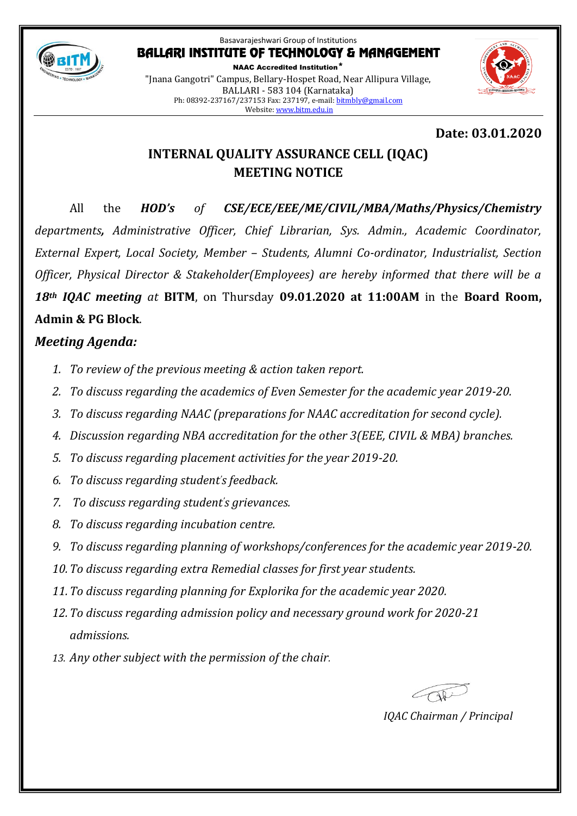

NAAC Accredited Institution\* "Jnana Gangotri" Campus, Bellary-Hospet Road, Near Allipura Village, BALLARI - 583 104 (Karnataka) Ph: 08392-237167/237153 Fax: 237197, e-mail[: bitmbly@gmail.com](mailto:bitmbly@gmail.com) Website[: www.bitm.edu.in](http://www.bec-bellary.com/)



## **Date: 03.01.2020**

# **INTERNAL QUALITY ASSURANCE CELL (IQAC) MEETING NOTICE**

All the *HOD's of CSE/ECE/EEE/ME/CIVIL/MBA/Maths/Physics/Chemistry departments, Administrative Officer, Chief Librarian, Sys. Admin., Academic Coordinator, External Expert, Local Society, Member – Students, Alumni Co-ordinator, Industrialist, Section Officer, Physical Director & Stakeholder(Employees) are hereby informed that there will be a 18th IQAC meeting at* **BITM**, on Thursday **09.01.2020 at 11:00AM** in the **Board Room, Admin & PG Block**.

# *Meeting Agenda:*

- *1. To review of the previous meeting & action taken report.*
- *2. To discuss regarding the academics of Even Semester for the academic year 2019-20.*
- *3. To discuss regarding NAAC (preparations for NAAC accreditation for second cycle).*
- *4. Discussion regarding NBA accreditation for the other 3(EEE, CIVIL & MBA) branches.*
- *5. To discuss regarding placement activities for the year 2019-20.*
- *6. To discuss regarding student's feedback.*
- *7. To discuss regarding student's grievances.*
- *8. To discuss regarding incubation centre.*
- *9. To discuss regarding planning of workshops/conferences for the academic year 2019-20.*
- *10.To discuss regarding extra Remedial classes for first year students.*
- *11.To discuss regarding planning for Explorika for the academic year 2020.*
- *12.To discuss regarding admission policy and necessary ground work for 2020-21 admissions.*
- *13. Any other subject with the permission of the chair.*

*IQAC Chairman / Principal*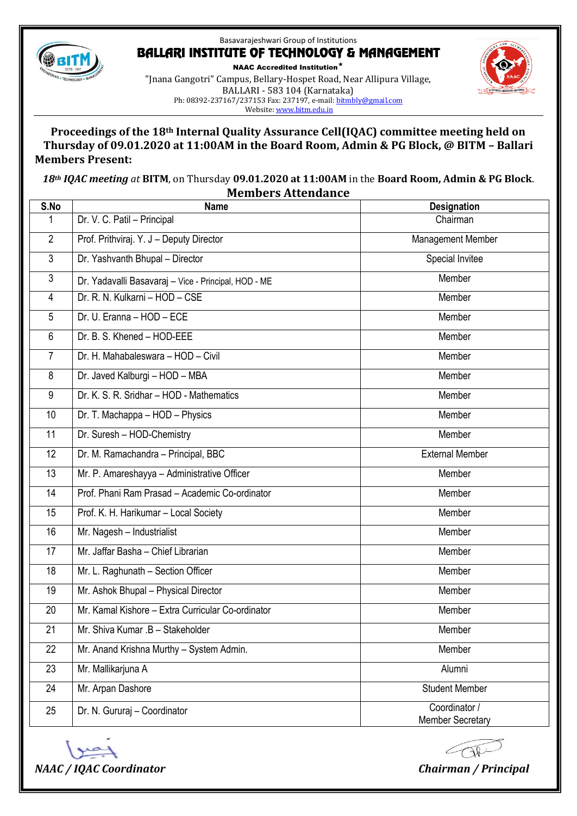

NAAC Accredited Institution\* "Jnana Gangotri" Campus, Bellary-Hospet Road, Near Allipura Village, BALLARI - 583 104 (Karnataka) Ph: 08392-237167/237153 Fax: 237197, e-mail[: bitmbly@gmail.com](mailto:bitmbly@gmail.com) Website[: www.bitm.edu.in](http://www.bec-bellary.com/)



#### **Proceedings of the 18th Internal Quality Assurance Cell(IQAC) committee meeting held on Thursday of 09.01.2020 at 11:00AM in the Board Room, Admin & PG Block, @ BITM – Ballari Members Present:**

*th IQAC meeting at* **BITM**, on Thursday **09.01.2020 at 11:00AM** in the **Board Room, Admin & PG Block**. **Members Attendance**

| S.No           | <b>Name</b>                                          | <b>Designation</b>                       |
|----------------|------------------------------------------------------|------------------------------------------|
| 1              | Dr. V. C. Patil - Principal                          | Chairman                                 |
| $\overline{2}$ | Prof. Prithviraj. Y. J - Deputy Director             | <b>Management Member</b>                 |
| 3              | Dr. Yashvanth Bhupal - Director                      | Special Invitee                          |
| 3              | Dr. Yadavalli Basavaraj - Vice - Principal, HOD - ME | Member                                   |
| 4              | Dr. R. N. Kulkarni - HOD - CSE                       | Member                                   |
| 5              | Dr. U. Eranna - HOD - ECE                            | Member                                   |
| 6              | Dr. B. S. Khened - HOD-EEE                           | Member                                   |
| $\overline{7}$ | Dr. H. Mahabaleswara - HOD - Civil                   | Member                                   |
| 8              | Dr. Javed Kalburgi - HOD - MBA                       | Member                                   |
| 9              | Dr. K. S. R. Sridhar - HOD - Mathematics             | Member                                   |
| 10             | Dr. T. Machappa - HOD - Physics                      | Member                                   |
| 11             | Dr. Suresh - HOD-Chemistry                           | Member                                   |
| 12             | Dr. M. Ramachandra - Principal, BBC                  | <b>External Member</b>                   |
| 13             | Mr. P. Amareshayya - Administrative Officer          | Member                                   |
| 14             | Prof. Phani Ram Prasad - Academic Co-ordinator       | Member                                   |
| 15             | Prof. K. H. Harikumar - Local Society                | Member                                   |
| 16             | Mr. Nagesh - Industrialist                           | Member                                   |
| 17             | Mr. Jaffar Basha - Chief Librarian                   | Member                                   |
| 18             | Mr. L. Raghunath - Section Officer                   | Member                                   |
| 19             | Mr. Ashok Bhupal - Physical Director                 | Member                                   |
| 20             | Mr. Kamal Kishore - Extra Curricular Co-ordinator    | Member                                   |
| 21             | Mr. Shiva Kumar .B - Stakeholder                     | Member                                   |
| 22             | Mr. Anand Krishna Murthy - System Admin.             | Member                                   |
| 23             | Mr. Mallikarjuna A                                   | Alumni                                   |
| 24             | Mr. Arpan Dashore                                    | <b>Student Member</b>                    |
| 25             | Dr. N. Gururaj - Coordinator                         | Coordinator /<br><b>Member Secretary</b> |



 $C\cap V$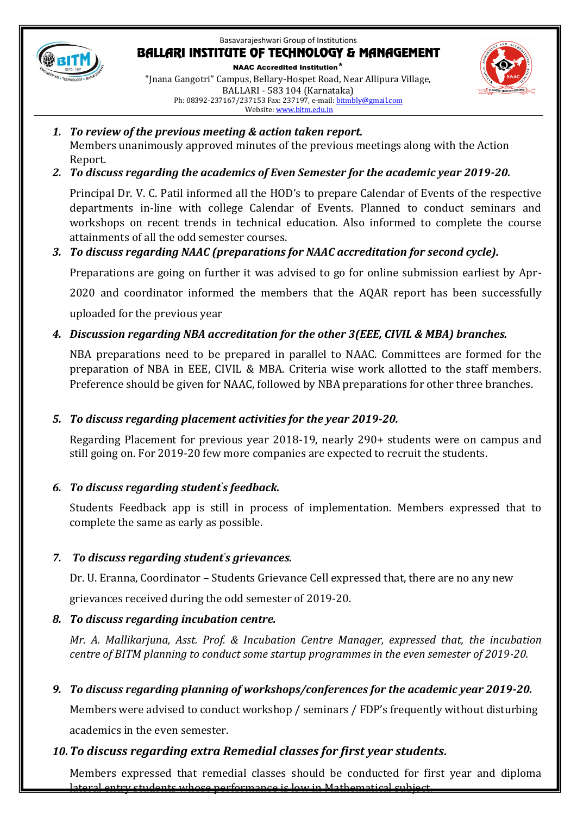

NAAC Accredited Institution\* "Jnana Gangotri" Campus, Bellary-Hospet Road, Near Allipura Village, BALLARI - 583 104 (Karnataka) Ph: 08392-237167/237153 Fax: 237197, e-mail[: bitmbly@gmail.com](mailto:bitmbly@gmail.com) Website[: www.bitm.edu.in](http://www.bec-bellary.com/)

- *1. To review of the previous meeting & action taken report.* Members unanimously approved minutes of the previous meetings along with the Action Report.
- *2. To discuss regarding the academics of Even Semester for the academic year 2019-20.*

Principal Dr. V. C. Patil informed all the HOD's to prepare Calendar of Events of the respective departments in-line with college Calendar of Events. Planned to conduct seminars and workshops on recent trends in technical education. Also informed to complete the course attainments of all the odd semester courses.

## *3. To discuss regarding NAAC (preparations for NAAC accreditation for second cycle).*

Preparations are going on further it was advised to go for online submission earliest by Apr-

2020 and coordinator informed the members that the AQAR report has been successfully

uploaded for the previous year

## *4. Discussion regarding NBA accreditation for the other 3(EEE, CIVIL & MBA) branches.*

NBA preparations need to be prepared in parallel to NAAC. Committees are formed for the preparation of NBA in EEE, CIVIL & MBA. Criteria wise work allotted to the staff members. Preference should be given for NAAC, followed by NBA preparations for other three branches.

## *5. To discuss regarding placement activities for the year 2019-20.*

Regarding Placement for previous year 2018-19, nearly 290+ students were on campus and still going on. For 2019-20 few more companies are expected to recruit the students.

#### *6. To discuss regarding student's feedback.*

Students Feedback app is still in process of implementation. Members expressed that to complete the same as early as possible.

## *7. To discuss regarding student's grievances.*

Dr. U. Eranna, Coordinator – Students Grievance Cell expressed that, there are no any new

grievances received during the odd semester of 2019-20.

## *8. To discuss regarding incubation centre.*

*Mr. A. Mallikarjuna, Asst. Prof. & Incubation Centre Manager, expressed that, the incubation centre of BITM planning to conduct some startup programmes in the even semester of 2019-20.*

## *9. To discuss regarding planning of workshops/conferences for the academic year 2019-20.*

Members were advised to conduct workshop / seminars / FDP's frequently without disturbing academics in the even semester.

## *10.To discuss regarding extra Remedial classes for first year students.*

Members expressed that remedial classes should be conducted for first year and diploma lateral entry students whose performance is low in Mathematical subject.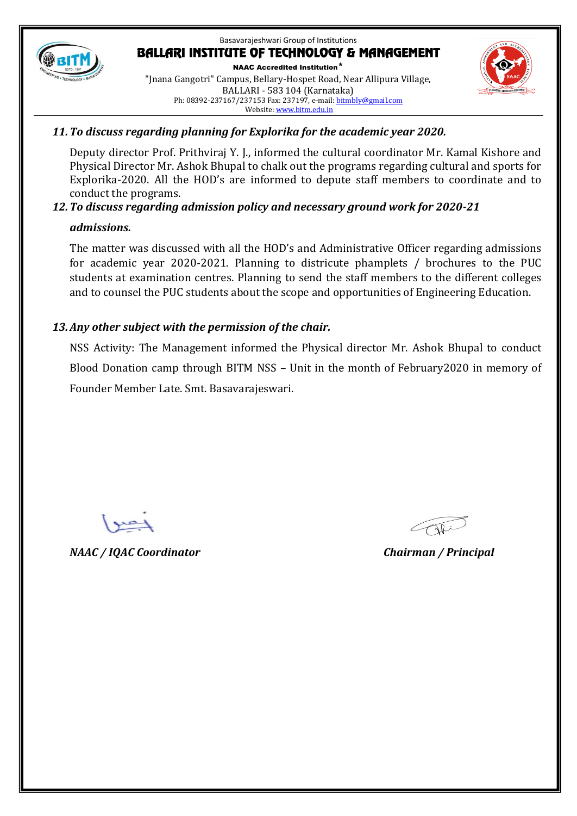

#### Basavarajeshwari Group of Institutions **BALLARI INSTITUTE OF TECHNOLOGY & MANAGEMENT** NAAC Accredited Institution\* "Jnana Gangotri" Campus, Bellary-Hospet Road, Near Allipura Village, BALLARI - 583 104 (Karnataka)

Ph: 08392-237167/237153 Fax: 237197, e-mail[: bitmbly@gmail.com](mailto:bitmbly@gmail.com) Website[: www.bitm.edu.in](http://www.bec-bellary.com/)



#### *11.To discuss regarding planning for Explorika for the academic year 2020.*

Deputy director Prof. Prithviraj Y. J., informed the cultural coordinator Mr. Kamal Kishore and Physical Director Mr. Ashok Bhupal to chalk out the programs regarding cultural and sports for Explorika-2020. All the HOD's are informed to depute staff members to coordinate and to conduct the programs.

#### *12.To discuss regarding admission policy and necessary ground work for 2020-21*

#### *admissions.*

The matter was discussed with all the HOD's and Administrative Officer regarding admissions for academic year 2020-2021. Planning to districute phamplets / brochures to the PUC students at examination centres. Planning to send the staff members to the different colleges and to counsel the PUC students about the scope and opportunities of Engineering Education.

### *13.Any other subject with the permission of the chair.*

NSS Activity: The Management informed the Physical director Mr. Ashok Bhupal to conduct Blood Donation camp through BITM NSS – Unit in the month of February2020 in memory of Founder Member Late. Smt. Basavarajeswari.

*NAAC / IQAC Coordinator Chairman / Principal*